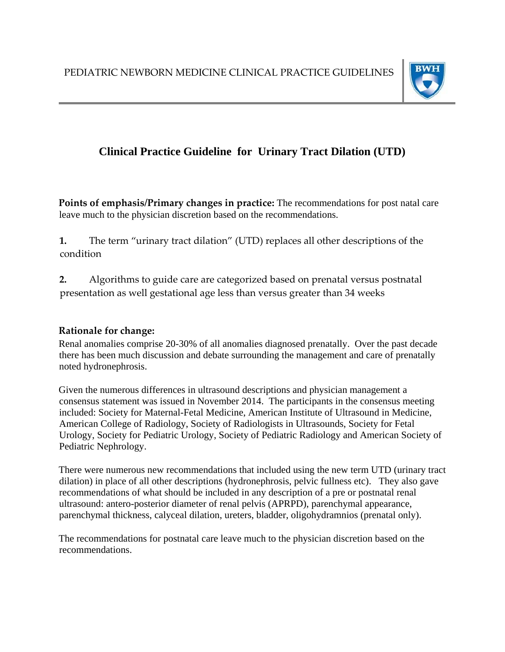

## **Clinical Practice Guideline for Urinary Tract Dilation (UTD)**

**Points of emphasis/Primary changes in practice:** The recommendations for post natal care leave much to the physician discretion based on the recommendations.

**1.** The term "urinary tract dilation" (UTD) replaces all other descriptions of the condition

**2.** Algorithms to guide care are categorized based on prenatal versus postnatal presentation as well gestational age less than versus greater than 34 weeks

## **Rationale for change:**

Renal anomalies comprise 20-30% of all anomalies diagnosed prenatally. Over the past decade there has been much discussion and debate surrounding the management and care of prenatally noted hydronephrosis.

Given the numerous differences in ultrasound descriptions and physician management a consensus statement was issued in November 2014. The participants in the consensus meeting included: Society for Maternal-Fetal Medicine, American Institute of Ultrasound in Medicine, American College of Radiology, Society of Radiologists in Ultrasounds, Society for Fetal Urology, Society for Pediatric Urology, Society of Pediatric Radiology and American Society of Pediatric Nephrology.

There were numerous new recommendations that included using the new term UTD (urinary tract dilation) in place of all other descriptions (hydronephrosis, pelvic fullness etc). They also gave recommendations of what should be included in any description of a pre or postnatal renal ultrasound: antero-posterior diameter of renal pelvis (APRPD), parenchymal appearance, parenchymal thickness, calyceal dilation, ureters, bladder, oligohydramnios (prenatal only).

The recommendations for postnatal care leave much to the physician discretion based on the recommendations.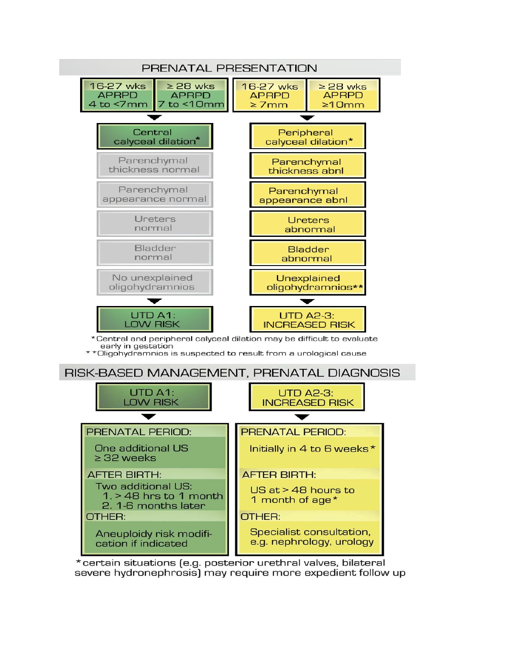

\*certain situations [e.g. posterior urethral valves, bilateral severe hydronephrosis) may require more expedient follow up